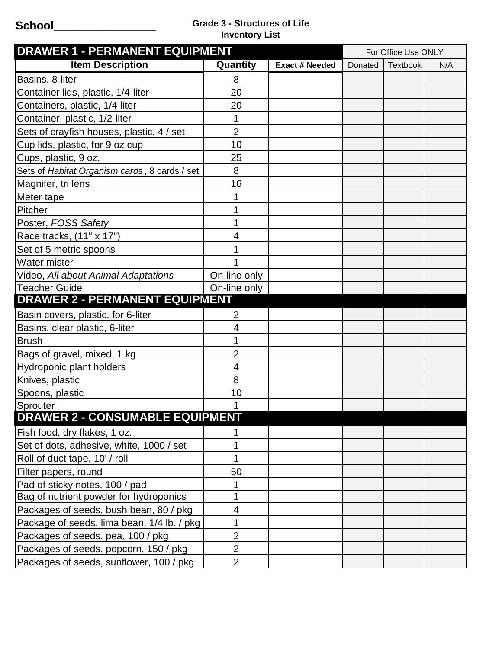## **School\_\_\_\_\_\_\_\_\_\_\_\_\_\_\_\_ Grade 3 - Structures of Life Inventory List**

| <b>DRAWER 1 - PERMANENT EQUIPMENT</b>         |                |                       |         | For Office Use ONLY |     |  |
|-----------------------------------------------|----------------|-----------------------|---------|---------------------|-----|--|
| <b>Item Description</b>                       | Quantity       | <b>Exact # Needed</b> | Donated | <b>Textbook</b>     | N/A |  |
| Basins, 8-liter                               | 8              |                       |         |                     |     |  |
| Container lids, plastic, 1/4-liter            | 20             |                       |         |                     |     |  |
| Containers, plastic, 1/4-liter                | 20             |                       |         |                     |     |  |
| Container, plastic, 1/2-liter                 | 1              |                       |         |                     |     |  |
| Sets of crayfish houses, plastic, 4 / set     | $\overline{2}$ |                       |         |                     |     |  |
| Cup lids, plastic, for 9 oz cup               | 10             |                       |         |                     |     |  |
| Cups, plastic, 9 oz.                          | 25             |                       |         |                     |     |  |
| Sets of Habitat Organism cards, 8 cards / set | 8              |                       |         |                     |     |  |
| Magnifer, tri lens                            | 16             |                       |         |                     |     |  |
| Meter tape                                    | 1              |                       |         |                     |     |  |
| Pitcher                                       | 1              |                       |         |                     |     |  |
| Poster, FOSS Safety                           | 1              |                       |         |                     |     |  |
| Race tracks, (11" x 17")                      | 4              |                       |         |                     |     |  |
| Set of 5 metric spoons                        | 1              |                       |         |                     |     |  |
| <b>Water mister</b>                           | 1              |                       |         |                     |     |  |
| Video, All about Animal Adaptations           | On-line only   |                       |         |                     |     |  |
| <b>Teacher Guide</b>                          | On-line only   |                       |         |                     |     |  |
| <b>DRAWER 2 - PERMANENT EQUIPMENT</b>         |                |                       |         |                     |     |  |
| Basin covers, plastic, for 6-liter            | $\overline{2}$ |                       |         |                     |     |  |
| Basins, clear plastic, 6-liter                | 4              |                       |         |                     |     |  |
| <b>Brush</b>                                  | 1              |                       |         |                     |     |  |
| Bags of gravel, mixed, 1 kg                   | $\overline{2}$ |                       |         |                     |     |  |
| Hydroponic plant holders                      | 4              |                       |         |                     |     |  |
| Knives, plastic                               | 8              |                       |         |                     |     |  |
| Spoons, plastic                               | 10             |                       |         |                     |     |  |
| Sprouter                                      | 1              |                       |         |                     |     |  |
| <b>DRAWER 2 - CONSUMABLE EQUIPMENT</b>        |                |                       |         |                     |     |  |
| Fish food, dry flakes, 1 oz.                  | 1              |                       |         |                     |     |  |
| Set of dots, adhesive, white, 1000 / set      | 1              |                       |         |                     |     |  |
| Roll of duct tape, 10' / roll                 | 1              |                       |         |                     |     |  |
| Filter papers, round                          | 50             |                       |         |                     |     |  |
| Pad of sticky notes, 100 / pad                | 1              |                       |         |                     |     |  |
| Bag of nutrient powder for hydroponics        | 1              |                       |         |                     |     |  |
| Packages of seeds, bush bean, 80 / pkg        | 4              |                       |         |                     |     |  |
| Package of seeds, lima bean, 1/4 lb. / pkg    | 1              |                       |         |                     |     |  |
| Packages of seeds, pea, 100 / pkg             | $\overline{2}$ |                       |         |                     |     |  |
| Packages of seeds, popcorn, 150 / pkg         | $\overline{2}$ |                       |         |                     |     |  |
| Packages of seeds, sunflower, 100 / pkg       | $\overline{2}$ |                       |         |                     |     |  |